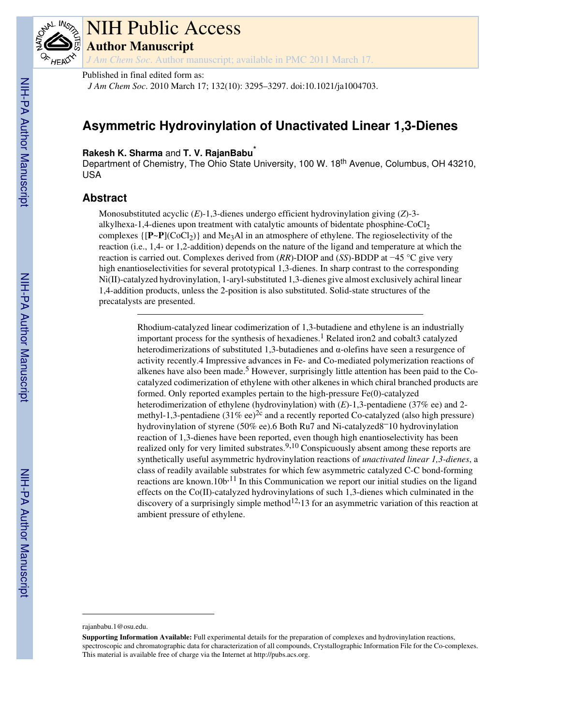

# NIH Public Access **Author Manuscript**

*J Am Chem Soc*. Author manuscript; available in PMC 2011 March 17.

Published in final edited form as:

*J Am Chem Soc*. 2010 March 17; 132(10): 3295–3297. doi:10.1021/ja1004703.

## **Asymmetric Hydrovinylation of Unactivated Linear 1,3-Dienes**

### **Rakesh K. Sharma** and **T. V. RajanBabu**\*

Department of Chemistry, The Ohio State University, 100 W. 18<sup>th</sup> Avenue, Columbus, OH 43210, USA

## **Abstract**

Monosubstituted acyclic (*E*)-1,3-dienes undergo efficient hydrovinylation giving (*Z*)-3 alkylhexa-1,4-dienes upon treatment with catalytic amounts of bidentate phosphine- $CoCl<sub>2</sub>$ complexes  $\{[\mathbf{P}\sim\mathbf{P}](\text{CoCl}_2)\}\$  and Me<sub>3</sub>Al in an atmosphere of ethylene. The regioselectivity of the reaction (i.e., 1,4- or 1,2-addition) depends on the nature of the ligand and temperature at which the reaction is carried out. Complexes derived from (*RR*)-DIOP and (*SS*)-BDDP at −45 °C give very high enantioselectivities for several prototypical 1,3-dienes. In sharp contrast to the corresponding Ni(II)-catalyzed hydrovinylation, 1-aryl-substituted 1,3-dienes give almost exclusively achiral linear 1,4-addition products, unless the 2-position is also substituted. Solid-state structures of the precatalysts are presented.

> Rhodium-catalyzed linear codimerization of 1,3-butadiene and ethylene is an industrially important process for the synthesis of hexadienes.<sup>1</sup> Related iron2 and cobalt3 catalyzed heterodimerizations of substituted 1,3-butadienes and  $\alpha$ -olefins have seen a resurgence of activity recently.4 Impressive advances in Fe- and Co-mediated polymerization reactions of alkenes have also been made.<sup>5</sup> However, surprisingly little attention has been paid to the Cocatalyzed codimerization of ethylene with other alkenes in which chiral branched products are formed. Only reported examples pertain to the high-pressure Fe(0)-catalyzed heterodimerization of ethylene (hydrovinylation) with (*E*)-1,3-pentadiene (37% ee) and 2 methyl-1,3-pentadiene  $(31\% \text{ ee})^{2c}$  and a recently reported Co-catalyzed (also high pressure) hydrovinylation of styrene (50% ee).6 Both Ru7 and Ni-catalyzed8–10 hydrovinylation reaction of 1,3-dienes have been reported, even though high enantioselectivity has been realized only for very limited substrates.<sup>9,10</sup> Conspicuously absent among these reports are synthetically useful asymmetric hydrovinylation reactions of *unactivated linear 1,3-dienes*, a class of readily available substrates for which few asymmetric catalyzed C-C bond-forming reactions are known.10 $b<sup>11</sup>$  In this Communication we report our initial studies on the ligand effects on the Co(II)-catalyzed hydrovinylations of such 1,3-dienes which culminated in the discovery of a surprisingly simple method<sup>12,</sup>13 for an asymmetric variation of this reaction at ambient pressure of ethylene.

rajanbabu.1@osu.edu.

**Supporting Information Available:** Full experimental details for the preparation of complexes and hydrovinylation reactions, spectroscopic and chromatographic data for characterization of all compounds, Crystallographic Information File for the Co-complexes. This material is available free of charge via the Internet at http://pubs.acs.org.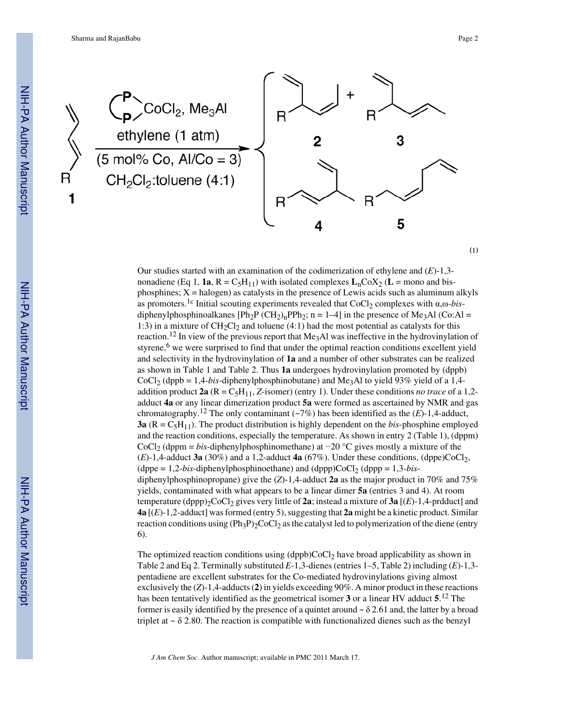

Our studies started with an examination of the codimerization of ethylene and (*E*)-1,3 nonadiene (Eq 1, **1a**,  $R = C_5H_{11}$ ) with isolated complexes  $L_nC_0X_2$  ( $L =$  mono and bisphosphines;  $X =$  halogen) as catalysts in the presence of Lewis acids such as aluminum alkyls as promoters.<sup>1c</sup> Initial scouting experiments revealed that CoCl<sub>2</sub> complexes with α,ω-*bis*diphenylphosphinoalkanes  $[Ph_2P (CH_2)_nPPh_2; n = 1-4]$  in the presence of Me<sub>3</sub>Al (Co:Al = 1:3) in a mixture of  $CH_2Cl_2$  and toluene (4:1) had the most potential as catalysts for this reaction.<sup>12</sup> In view of the previous report that  $Me<sub>3</sub>Al$  was ineffective in the hydrovinylation of styrene,<sup>6</sup> we were surprised to find that under the optimal reaction conditions excellent yield and selectivity in the hydrovinylation of **1a** and a number of other substrates can be realized as shown in Table 1 and Table 2. Thus **1a** undergoes hydrovinylation promoted by (dppb) CoCl<sub>2</sub> (dppb = 1,4-*bis*-diphenylphosphinobutane) and Me<sub>3</sub>Al to yield 93% yield of a 1,4addition product  $2a$  ( $R = C_5H_{11}$ , *Z*-isomer) (entry 1). Under these conditions *no trace* of a 1,2adduct **4a** or any linear dimerization product **5a** were formed as ascertained by NMR and gas chromatography.<sup>12</sup> The only contaminant ( $\sim$ 7%) has been identified as the (*E*)-1,4-adduct, **3a**  $(R = C<sub>5</sub>H<sub>11</sub>)$ . The product distribution is highly dependent on the *bis*-phosphine employed and the reaction conditions, especially the temperature. As shown in entry 2 (Table 1), (dppm) CoCl2 (dppm = *bis*-diphenylphosphinomethane) at −20 °C gives mostly a mixture of the  $(E)$ -1,4-adduct **3a** (30%) and a 1,2-adduct **4a** (67%). Under these conditions, (dppe)CoCl<sub>2</sub>, (dppe =  $1,2-bis$ -diphenylphosphinoethane) and (dppp)CoCl<sub>2</sub> (dppp =  $1,3-bis$ diphenylphosphinopropane) give the (*Z*)-1,4-adduct **2a** as the major product in 70% and 75% yields, contaminated with what appears to be a linear dimer **5a** (entries 3 and 4). At room temperature (dppp)<sub>2</sub>CoCl<sub>2</sub> gives very little of **2a**; instead a mixture of **3a** [ $(E)$ -1,4-prdduct] and **4a** [(*E*)-1,2-adduct] was formed (entry 5), suggesting that **2a** might be a kinetic product. Similar reaction conditions using  $(\text{Ph}_3\text{P})_2\text{CoCl}_2$  as the catalyst led to polymerization of the diene (entry 6).

The optimized reaction conditions using  $(dppb)CoCl<sub>2</sub>$  have broad applicability as shown in Table 2 and Eq 2. Terminally substituted *E*-1,3-dienes (entries 1–5, Table 2) including (*E*)-1,3 pentadiene are excellent substrates for the Co-mediated hydrovinylations giving almost exclusively the (*Z*)-1,4-adducts (**2**) in yields exceeding 90%. A minor product in these reactions has been tentatively identified as the geometrical isomer **3** or a linear HV adduct **5**. <sup>12</sup> The former is easily identified by the presence of a quintet around  $\sim \delta$  2.61 and, the latter by a broad triplet at  $\sim \delta$  2.80. The reaction is compatible with functionalized dienes such as the benzyl

*J Am Chem Soc*. Author manuscript; available in PMC 2011 March 17.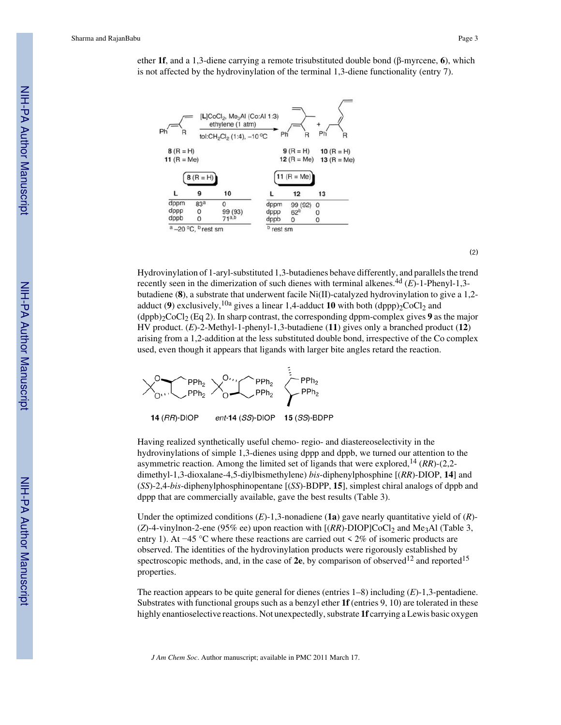Sharma and RajanBabu Page 3

-]CoCl<sub>2</sub>, Me<sub>3</sub>AI (Co:AI ethylene (1 atm) Ph  $-10^{\circ}$ C  $B(R = H)$  $9(R = H)$ 10  $(R = H)$ 11  $(R = Me)$ 12 ( $R = Me$ ) 13 ( $R = Me$ ) 11 ( $R = Me$ )  $8(R = H)$ L 9 10  $12$ 13 dppm  $83<sup>5</sup>$ dppm 99 (92) 0  $\theta$ dppp 99 (93)  $\Omega$ dppp  $62<sup>b</sup>$  $\mathbf{O}$  $71<sup>a,b</sup>$ dppb  $\mathbf{0}$ dppb 0  $\mathbf 0$  $a - 20$  °C,  $b$  rest sm  $<sup>b</sup>$  rest sm</sup>

ether **1f**, and a 1,3-diene carrying a remote trisubstituted double bond (β-myrcene, **6**), which is not affected by the hydrovinylation of the terminal 1,3-diene functionality (entry 7).

(2)

Hydrovinylation of 1-aryl-substituted 1,3-butadienes behave differently, and parallels the trend recently seen in the dimerization of such dienes with terminal alkenes.4d (*E*)-1-Phenyl-1,3 butadiene (**8**), a substrate that underwent facile Ni(II)-catalyzed hydrovinylation to give a 1,2 adduct (9) exclusively,  $^{10a}$  gives a linear 1,4-adduct 10 with both (dppp)<sub>2</sub>CoCl<sub>2</sub> and  $(dppb)<sub>2</sub>CCl<sub>2</sub>$  (Eq 2). In sharp contrast, the corresponding dppm-complex gives 9 as the major HV product. (*E*)-2-Methyl-1-phenyl-1,3-butadiene (**11**) gives only a branched product (**12**) arising from a 1,2-addition at the less substituted double bond, irrespective of the Co complex used, even though it appears that ligands with larger bite angles retard the reaction.



Having realized synthetically useful chemo- regio- and diastereoselectivity in the hydrovinylations of simple 1,3-dienes using dppp and dppb, we turned our attention to the asymmetric reaction. Among the limited set of ligands that were explored,14 (*RR*)-(2,2 dimethyl-1,3-dioxalane-4,5-diylbismethylene) *bis*-diphenylphosphine [(*RR*)-DIOP, **14**] and (*SS*)-2,4-*bis*-diphenylphosphinopentane [(*SS*)-BDPP, **15**], simplest chiral analogs of dppb and dppp that are commercially available, gave the best results (Table 3).

Under the optimized conditions (*E*)-1,3-nonadiene (**1a**) gave nearly quantitative yield of (*R*)-  $(Z)$ -4-vinylnon-2-ene (95% ee) upon reaction with  $[(RR)$ -DIOP]CoCl<sub>2</sub> and Me<sub>3</sub>Al (Table 3, entry 1). At −45 °C where these reactions are carried out < 2% of isomeric products are observed. The identities of the hydrovinylation products were rigorously established by spectroscopic methods, and, in the case of  $2e$ , by comparison of observed<sup>12</sup> and reported<sup>15</sup> properties.

The reaction appears to be quite general for dienes (entries 1–8) including (*E*)-1,3-pentadiene. Substrates with functional groups such as a benzyl ether **1f** (entries 9, 10) are tolerated in these highly enantioselective reactions. Not unexpectedly, substrate **1f** carrying a Lewis basic oxygen

*J Am Chem Soc*. Author manuscript; available in PMC 2011 March 17.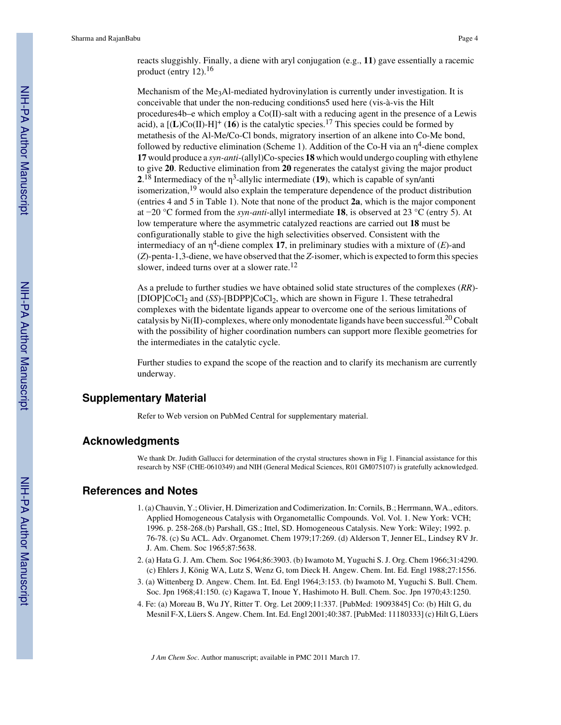reacts sluggishly. Finally, a diene with aryl conjugation (e.g., **11**) gave essentially a racemic product (entry 12).<sup>16</sup>

Mechanism of the Me<sub>3</sub>Al-mediated hydrovinylation is currently under investigation. It is conceivable that under the non-reducing conditions5 used here (vis-à-vis the Hilt procedures4b–e which employ a Co(II)-salt with a reducing agent in the presence of a Lewis acid), a  $[(L)Co(II)-H]^+(16)$  is the catalytic species.<sup>17</sup> This species could be formed by metathesis of the Al-Me/Co-Cl bonds, migratory insertion of an alkene into Co-Me bond, followed by reductive elimination (Scheme 1). Addition of the Co-H via an  $\eta^4$ -diene complex **17** would produce a *syn-anti*-(allyl)Co-species **18** which would undergo coupling with ethylene to give **20**. Reductive elimination from **20** regenerates the catalyst giving the major product **2**.<sup>18</sup> Intermediacy of the η<sup>3</sup>-allylic intermediate (19), which is capable of syn/anti isomerization,19 would also explain the temperature dependence of the product distribution (entries 4 and 5 in Table 1). Note that none of the product **2a**, which is the major component at −20 °C formed from the *syn-anti*-allyl intermediate **18**, is observed at 23 °C (entry 5). At low temperature where the asymmetric catalyzed reactions are carried out **18** must be configurationally stable to give the high selectivities observed. Consistent with the intermediacy of an η 4 -diene complex **17**, in preliminary studies with a mixture of (*E*)-and (*Z*)-penta-1,3-diene, we have observed that the *Z*-isomer, which is expected to form this species slower, indeed turns over at a slower rate.<sup>12</sup>

As a prelude to further studies we have obtained solid state structures of the complexes (*RR*)- [DIOP]CoCl<sub>2</sub> and (*SS*)-[BDPP]CoCl<sub>2</sub>, which are shown in Figure 1. These tetrahedral complexes with the bidentate ligands appear to overcome one of the serious limitations of catalysis by Ni(II)-complexes, where only monodentate ligands have been successful.20 Cobalt with the possibility of higher coordination numbers can support more flexible geometries for the intermediates in the catalytic cycle.

Further studies to expand the scope of the reaction and to clarify its mechanism are currently underway.

### **Supplementary Material**

Refer to Web version on PubMed Central for supplementary material.

#### **Acknowledgments**

We thank Dr. Judith Gallucci for determination of the crystal structures shown in Fig 1. Financial assistance for this research by NSF (CHE-0610349) and NIH (General Medical Sciences, R01 GM075107) is gratefully acknowledged.

#### **References and Notes**

- 1. (a) Chauvin, Y.; Olivier, H. Dimerization and Codimerization. In: Cornils, B.; Herrmann, WA., editors. Applied Homogeneous Catalysis with Organometallic Compounds. Vol. Vol. 1. New York: VCH; 1996. p. 258-268.(b) Parshall, GS.; Ittel, SD. Homogeneous Catalysis. New York: Wiley; 1992. p. 76-78. (c) Su ACL. Adv. Organomet. Chem 1979;17:269. (d) Alderson T, Jenner EL, Lindsey RV Jr. J. Am. Chem. Soc 1965;87:5638.
- 2. (a) Hata G. J. Am. Chem. Soc 1964;86:3903. (b) Iwamoto M, Yuguchi S. J. Org. Chem 1966;31:4290. (c) Ehlers J, König WA, Lutz S, Wenz G, tom Dieck H. Angew. Chem. Int. Ed. Engl 1988;27:1556.
- 3. (a) Wittenberg D. Angew. Chem. Int. Ed. Engl 1964;3:153. (b) Iwamoto M, Yuguchi S. Bull. Chem. Soc. Jpn 1968;41:150. (c) Kagawa T, Inoue Y, Hashimoto H. Bull. Chem. Soc. Jpn 1970;43:1250.
- 4. Fe: (a) Moreau B, Wu JY, Ritter T. Org. Let 2009;11:337. [PubMed: 19093845] Co: (b) Hilt G, du Mesnil F-X, Lüers S. Angew. Chem. Int. Ed. Engl 2001;40:387. [PubMed: 11180333] (c) Hilt G, Lüers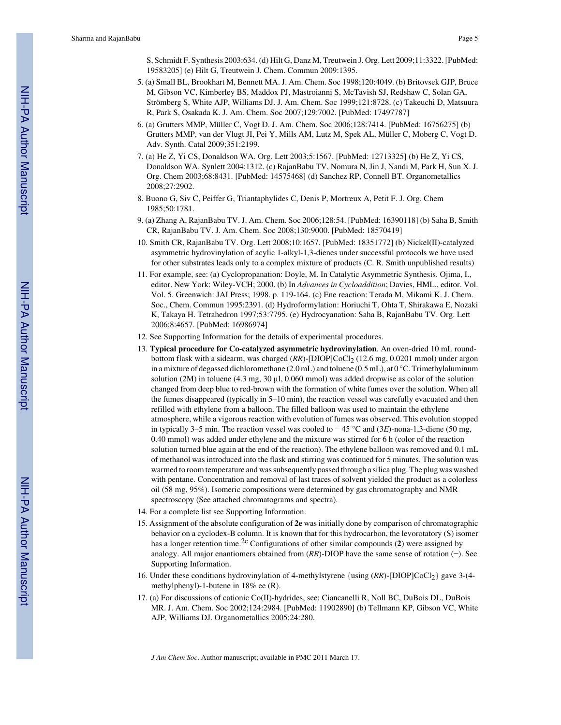S, Schmidt F. Synthesis 2003:634. (d) Hilt G, Danz M, Treutwein J. Org. Lett 2009;11:3322. [PubMed: 19583205] (e) Hilt G, Treutwein J. Chem. Commun 2009:1395.

- 5. (a) Small BL, Brookhart M, Bennett MA. J. Am. Chem. Soc 1998;120:4049. (b) Britovsek GJP, Bruce M, Gibson VC, Kimberley BS, Maddox PJ, Mastroianni S, McTavish SJ, Redshaw C, Solan GA, Strömberg S, White AJP, Williams DJ. J. Am. Chem. Soc 1999;121:8728. (c) Takeuchi D, Matsuura R, Park S, Osakada K. J. Am. Chem. Soc 2007;129:7002. [PubMed: 17497787]
- 6. (a) Grutters MMP, Müller C, Vogt D. J. Am. Chem. Soc 2006;128:7414. [PubMed: 16756275] (b) Grutters MMP, van der Vlugt JI, Pei Y, Mills AM, Lutz M, Spek AL, Müller C, Moberg C, Vogt D. Adv. Synth. Catal 2009;351:2199.
- 7. (a) He Z, Yi CS, Donaldson WA. Org. Lett 2003;5:1567. [PubMed: 12713325] (b) He Z, Yi CS, Donaldson WA. Synlett 2004:1312. (c) RajanBabu TV, Nomura N, Jin J, Nandi M, Park H, Sun X. J. Org. Chem 2003;68:8431. [PubMed: 14575468] (d) Sanchez RP, Connell BT. Organometallics 2008;27:2902.
- 8. Buono G, Siv C, Peiffer G, Triantaphylides C, Denis P, Mortreux A, Petit F. J. Org. Chem 1985;50:1781.
- 9. (a) Zhang A, RajanBabu TV. J. Am. Chem. Soc 2006;128:54. [PubMed: 16390118] (b) Saha B, Smith CR, RajanBabu TV. J. Am. Chem. Soc 2008;130:9000. [PubMed: 18570419]
- 10. Smith CR, RajanBabu TV. Org. Lett 2008;10:1657. [PubMed: 18351772] (b) Nickel(II)-catalyzed asymmetric hydrovinylation of acylic 1-alkyl-1,3-dienes under successful protocols we have used for other substrates leads only to a complex mixture of products (C. R. Smith unpublished results)
- 11. For example, see: (a) Cyclopropanation: Doyle, M. In Catalytic Asymmetric Synthesis. Ojima, I., editor. New York: Wiley-VCH; 2000. (b) In *Advances in Cycloaddition*; Davies, HML., editor. Vol. Vol. 5. Greenwich: JAI Press; 1998. p. 119-164. (c) Ene reaction: Terada M, Mikami K. J. Chem. Soc., Chem. Commun 1995:2391. (d) Hydroformylation: Horiuchi T, Ohta T, Shirakawa E, Nozaki K, Takaya H. Tetrahedron 1997;53:7795. (e) Hydrocyanation: Saha B, RajanBabu TV. Org. Lett 2006;8:4657. [PubMed: 16986974]
- 12. See Supporting Information for the details of experimental procedures.
- 13. **Typical procedure for Co-catalyzed asymmetric hydrovinylation**. An oven-dried 10 mL roundbottom flask with a sidearm, was charged (*RR*)-[DIOP]CoCl<sub>2</sub> (12.6 mg, 0.0201 mmol) under argon in a mixture of degassed dichloromethane (2.0 mL) and toluene (0.5 mL), at 0 °C. Trimethylaluminum solution (2M) in toluene (4.3 mg, 30  $\mu$ l, 0.060 mmol) was added dropwise as color of the solution changed from deep blue to red-brown with the formation of white fumes over the solution. When all the fumes disappeared (typically in 5–10 min), the reaction vessel was carefully evacuated and then refilled with ethylene from a balloon. The filled balloon was used to maintain the ethylene atmosphere, while a vigorous reaction with evolution of fumes was observed. This evolution stopped in typically 3–5 min. The reaction vessel was cooled to − 45 °C and (3*E*)-nona-1,3-diene (50 mg, 0.40 mmol) was added under ethylene and the mixture was stirred for 6 h (color of the reaction solution turned blue again at the end of the reaction). The ethylene balloon was removed and 0.1 mL of methanol was introduced into the flask and stirring was continued for 5 minutes. The solution was warmed to room temperature and was subsequently passed through a silica plug. The plug was washed with pentane. Concentration and removal of last traces of solvent yielded the product as a colorless oil (58 mg, 95%). Isomeric compositions were determined by gas chromatography and NMR spectroscopy (See attached chromatograms and spectra).
- 14. For a complete list see Supporting Information.
- 15. Assignment of the absolute configuration of **2e** was initially done by comparison of chromatographic behavior on a cyclodex-B column. It is known that for this hydrocarbon, the levorotatory (S) isomer has a longer retention time.<sup>2c</sup> Configurations of other similar compounds (2) were assigned by analogy. All major enantiomers obtained from (*RR*)-DIOP have the same sense of rotation (−). See Supporting Information.
- 16. Under these conditions hydrovinylation of 4-methylstyrene {using (*RR*)-[DIOP]CoCl2} gave 3-(4 methylphenyl)-1-butene in 18% ee (R).
- 17. (a) For discussions of cationic Co(II)-hydrides, see: Ciancanelli R, Noll BC, DuBois DL, DuBois MR. J. Am. Chem. Soc 2002;124:2984. [PubMed: 11902890] (b) Tellmann KP, Gibson VC, White AJP, Williams DJ. Organometallics 2005;24:280.

*J Am Chem Soc*. Author manuscript; available in PMC 2011 March 17.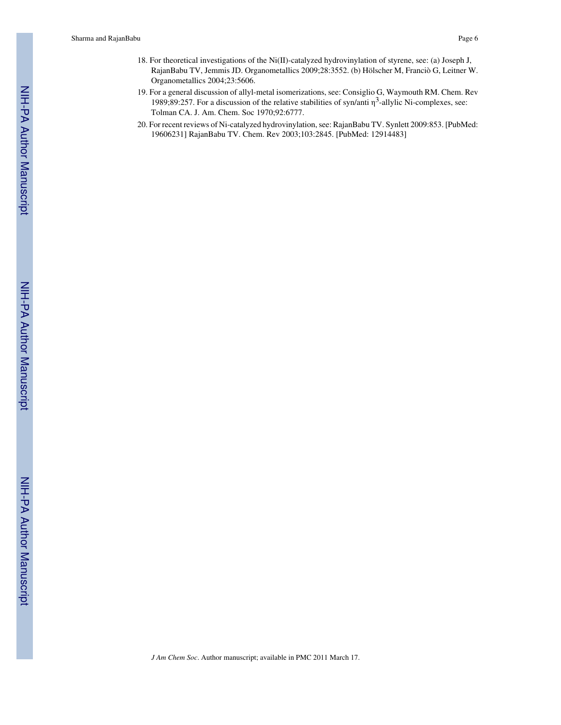- 19. For a general discussion of allyl-metal isomerizations, see: Consiglio G, Waymouth RM. Chem. Rev 1989;89:257. For a discussion of the relative stabilities of syn/anti  $\eta^3$ -allylic Ni-complexes, see: Tolman CA. J. Am. Chem. Soc 1970;92:6777.
- 20. For recent reviews of Ni-catalyzed hydrovinylation, see: RajanBabu TV. Synlett 2009:853. [PubMed: 19606231] RajanBabu TV. Chem. Rev 2003;103:2845. [PubMed: 12914483]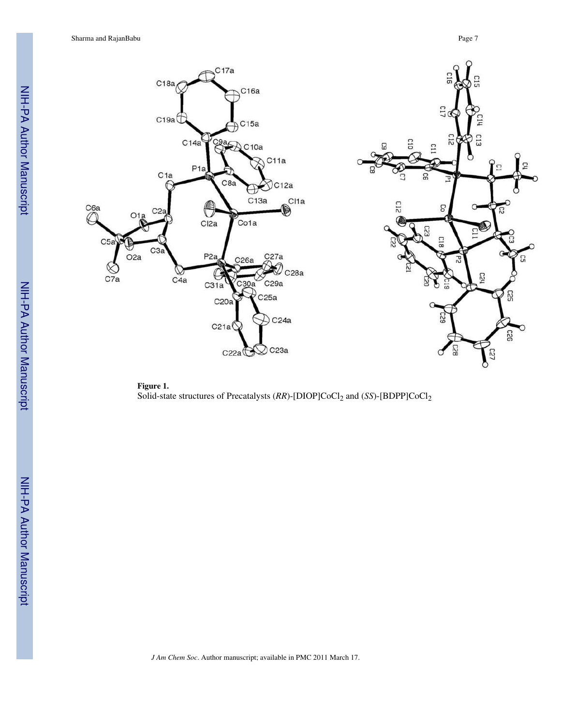Sharma and RajanBabu Page 7





NIH-PA Author Manuscript

NIH-PA Author Manuscript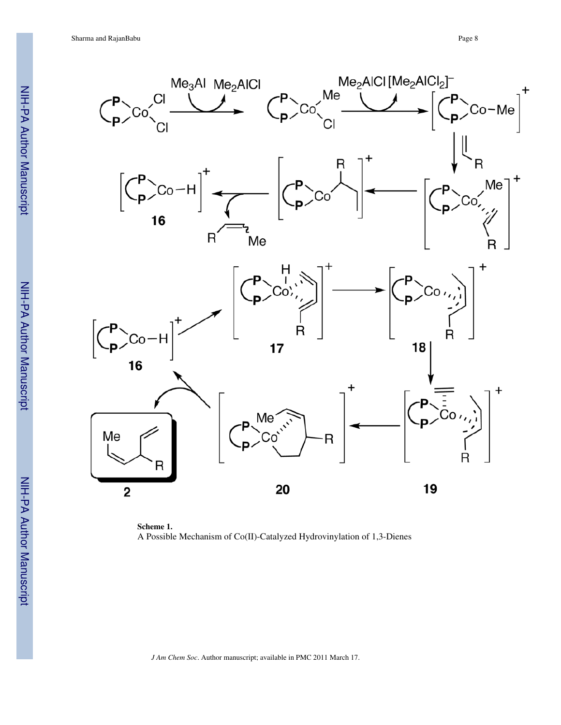Sharma and RajanBabu Page 8



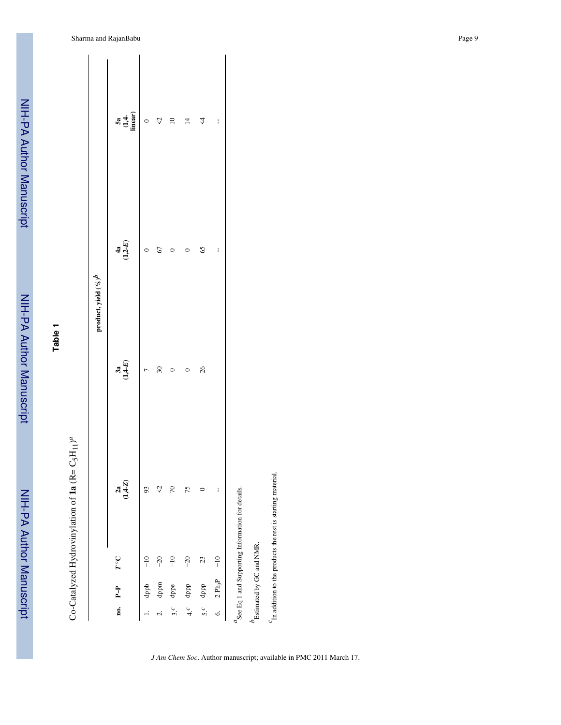| ś                  |
|--------------------|
|                    |
|                    |
|                    |
|                    |
|                    |
|                    |
|                    |
|                    |
|                    |
|                    |
|                    |
|                    |
|                    |
|                    |
|                    |
| $\frac{1}{2}$<br>l |
|                    |
|                    |
|                    |
|                    |
|                    |
| -- המחמה           |
|                    |
|                    |
|                    |
|                    |
|                    |
|                    |
|                    |
|                    |
|                    |
|                    |
| í                  |
|                    |
|                    |
|                    |

**Table 1**

| í<br>Ę                            |
|-----------------------------------|
| 4                                 |
| $2 + 12 + 12 + 12 + 12 + 12 + 12$ |
| ١                                 |
|                                   |
| ነ                                 |
| ś<br>ļ                            |
| ነ<br>$\ddot{\phantom{0}}$<br>į    |

|                |                     |                                                                                       |                | product, yield $(\%)^b$ |                      |                               |
|----------------|---------------------|---------------------------------------------------------------------------------------|----------------|-------------------------|----------------------|-------------------------------|
|                | no. P-P             | $T^\circ \mathbb{C}$                                                                  | $2a$<br>(14-Z) | $3a$<br>(1,4-E)         | $\frac{4a}{(1,2-E)}$ | $\frac{5a}{(1,4)}$<br>linear) |
|                | dppb                | $\frac{1}{1}$                                                                         | 93             | $\overline{ }$          | 0                    | $\circ$                       |
| $\overline{c}$ | dppm                | $-20$                                                                                 | ु              | $30\,$                  | 67                   | $\mathcal{L}$                 |
| 3.6            | dppe                | $\frac{1}{1}$                                                                         | $\sqrt{2}$     | $\circ$                 |                      | $\approx$                     |
| 4.6            | dppp                | $-20$                                                                                 | 75             | $\circ$                 | $\circ$              | $\overline{4}$                |
| 5 <sup>c</sup> | dppp                | 23                                                                                    | 0              | 26                      | 65                   | $\overline{4}$                |
| $\ddot{\circ}$ | 2 Ph <sub>3</sub> P | $-10$                                                                                 | I              |                         | I                    | ł                             |
|                |                     | $\alpha$ See Eq 1 and Supporting Information for details.<br>Estimated by GC and NMR. |                |                         |                      |                               |
|                |                     |                                                                                       |                |                         |                      |                               |

*c*In addition to the products the rest is starting material.

 $\emph{c}_{\rm In}$  addition to the products the rest is starting material.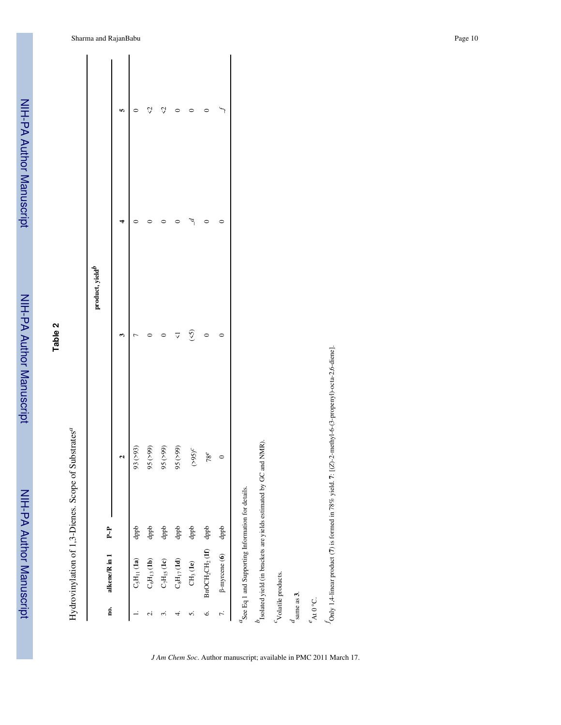| <b>Alliny</b> |
|---------------|
|               |
|               |
|               |
|               |
|               |
|               |
|               |
|               |
|               |
| יי היי        |
|               |
|               |
|               |
|               |
|               |
| j             |
|               |
|               |
|               |
|               |

NIH-PA Author Manuscript

NIH-PA Author Manuscript

**Table 2**

Hydrovinylation of 1,3-Dienes. Scope of Substrates *a*

|             |                                                       | ł                                                              |                       |                             |     |
|-------------|-------------------------------------------------------|----------------------------------------------------------------|-----------------------|-----------------------------|-----|
| no.         | alkene/R in 1                                         | $P - P$                                                        |                       | product, yield <sup>l</sup> |     |
|             |                                                       |                                                                | $\mathbf{\hat{c}}$    |                             | In, |
|             | $C_5H_{11}$ (1a)                                      | dppb                                                           | 93(>93)               |                             |     |
| نہ<br>      | $\mathrm{C_6H_{13}\left(1b\right)}$                   | dppb                                                           | $(66<)$<br>95         |                             |     |
| 2.          | $\mathrm{C}_7\mathrm{H}_1{}_\mathrm{5}\mathrm{(1c)}$  | dppb                                                           | $95\,(>99)$           |                             |     |
| 4.          | $\mathrm{C}_8\mathrm{H}_{17}\left(\mathbf{1d}\right)$ | dppb                                                           | $(66\varsigma)$<br>95 |                             |     |
| s.          | $\mathrm{CH}_3\left(\mathbf{1e}\right)$               | dppb                                                           | $(>95)^C$             | (5)                         |     |
| Ġ           | BnOCH <sub>2</sub> CH <sub>2</sub> (1f) dppb          |                                                                | $78^e$                | $\circ$                     |     |
| $\tilde{r}$ | $\beta$ -myrcene (6)                                  | dppb                                                           | $\circ$               |                             |     |
|             |                                                       | $\alpha$ See Eq 1 and Supporting Information for details.      |                       |                             |     |
|             |                                                       | $b$ isolated yield (in brackets are yields estimated by GC and | (NMR)                 |                             |     |
|             | Volatile products.                                    |                                                                |                       |                             |     |

*J Am Chem Soc*. Author manuscript; available in PMC 2011 March 17.

*d* same as **3**. *e*At 0 °C. *f*Only 1,4-linear product (**7**) is formed in 78% yield. **7**: [(

 $f_{\text{Only 1,4-linear}}$  product (7) is formed in 78% yield. 7: [(Z)-2-methyl-6-(3-propenyl)-octa-2,6-diene].

*Z*)-2-methyl-6-(3-propenyl)-octa-2,6-diene].